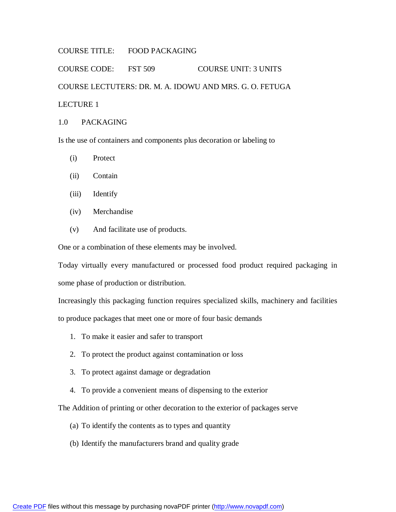## COURSE TITLE: FOOD PACKAGING

COURSE CODE: FST 509 COURSE UNIT: 3 UNITS COURSE LECTUTERS: DR. M. A. IDOWU AND MRS. G. O. FETUGA LECTURE 1

# 1.0 PACKAGING

Is the use of containers and components plus decoration or labeling to

- (i) Protect
- (ii) Contain
- (iii) Identify
- (iv) Merchandise
- (v) And facilitate use of products.

One or a combination of these elements may be involved.

Today virtually every manufactured or processed food product required packaging in some phase of production or distribution.

Increasingly this packaging function requires specialized skills, machinery and facilities to produce packages that meet one or more of four basic demands

- 1. To make it easier and safer to transport
- 2. To protect the product against contamination or loss
- 3. To protect against damage or degradation
- 4. To provide a convenient means of dispensing to the exterior

The Addition of printing or other decoration to the exterior of packages serve

- (a) To identify the contents as to types and quantity
- (b) Identify the manufacturers brand and quality grade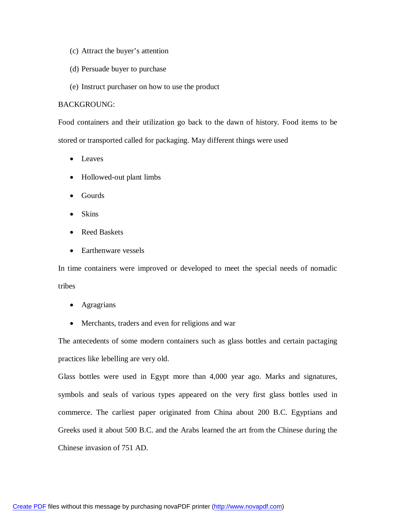- (c) Attract the buyer's attention
- (d) Persuade buyer to purchase
- (e) Instruct purchaser on how to use the product

#### BACKGROUNG:

Food containers and their utilization go back to the dawn of history. Food items to be stored or transported called for packaging. May different things were used

- Leaves
- Hollowed-out plant limbs
- Gourds
- $\bullet$  Skins
- Reed Baskets
- Earthenware vessels

In time containers were improved or developed to meet the special needs of nomadic tribes

- Agragrians
- Merchants, traders and even for religions and war

The antecedents of some modern containers such as glass bottles and certain pactaging practices like lebelling are very old.

Glass bottles were used in Egypt more than 4,000 year ago. Marks and signatures, symbols and seals of various types appeared on the very first glass bottles used in commerce. The carliest paper originated from China about 200 B.C. Egyptians and Greeks used it about 500 B.C. and the Arabs learned the art from the Chinese during the Chinese invasion of 751 AD.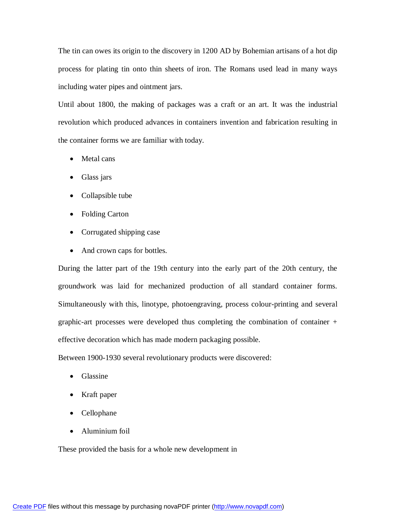The tin can owes its origin to the discovery in 1200 AD by Bohemian artisans of a hot dip process for plating tin onto thin sheets of iron. The Romans used lead in many ways including water pipes and ointment jars.

Until about 1800, the making of packages was a craft or an art. It was the industrial revolution which produced advances in containers invention and fabrication resulting in the container forms we are familiar with today.

- Metal cans
- Glass jars
- Collapsible tube
- Folding Carton
- Corrugated shipping case
- And crown caps for bottles.

During the latter part of the 19th century into the early part of the 20th century, the groundwork was laid for mechanized production of all standard container forms. Simultaneously with this, linotype, photoengraving, process colour-printing and several graphic-art processes were developed thus completing the combination of container + effective decoration which has made modern packaging possible.

Between 1900-1930 several revolutionary products were discovered:

- Glassine
- Kraft paper
- Cellophane
- Aluminium foil

These provided the basis for a whole new development in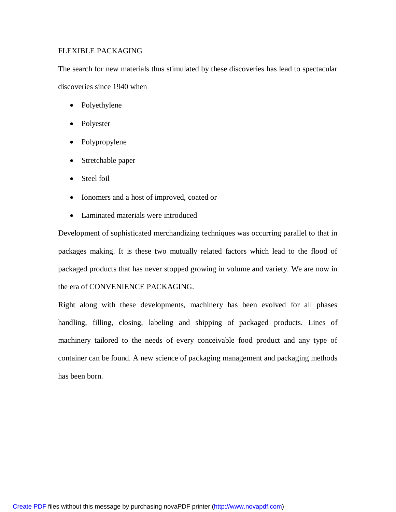## FLEXIBLE PACKAGING

The search for new materials thus stimulated by these discoveries has lead to spectacular discoveries since 1940 when

- Polyethylene
- Polyester
- Polypropylene
- Stretchable paper
- Steel foil
- Ionomers and a host of improved, coated or
- Laminated materials were introduced

Development of sophisticated merchandizing techniques was occurring parallel to that in packages making. It is these two mutually related factors which lead to the flood of packaged products that has never stopped growing in volume and variety. We are now in the era of CONVENIENCE PACKAGING.

Right along with these developments, machinery has been evolved for all phases handling, filling, closing, labeling and shipping of packaged products. Lines of machinery tailored to the needs of every conceivable food product and any type of container can be found. A new science of packaging management and packaging methods has been born.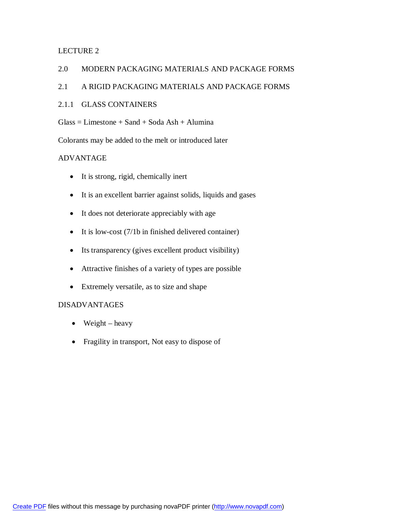# LECTURE 2

## 2.0 MODERN PACKAGING MATERIALS AND PACKAGE FORMS

# 2.1 A RIGID PACKAGING MATERIALS AND PACKAGE FORMS

## 2.1.1 GLASS CONTAINERS

 $Glass = Limes$  =  $Sand + Soda$  Ash + Alumina

Colorants may be added to the melt or introduced later

# ADVANTAGE

- It is strong, rigid, chemically inert
- It is an excellent barrier against solids, liquids and gases
- It does not deteriorate appreciably with age
- $\bullet$  It is low-cost (7/1b in finished delivered container)
- Its transparency (gives excellent product visibility)
- Attractive finishes of a variety of types are possible
- Extremely versatile, as to size and shape

## DISADVANTAGES

- $\bullet$  Weight heavy
- Fragility in transport, Not easy to dispose of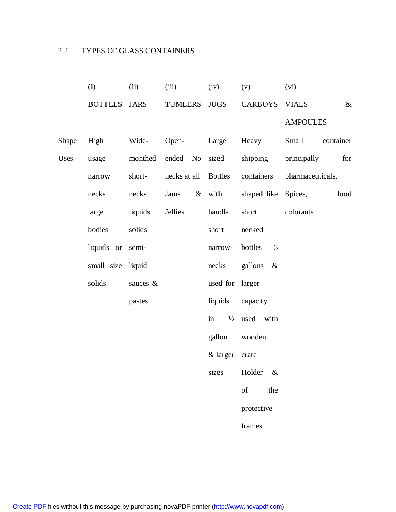# 2.2 TYPES OF GLASS CONTAINERS

|       | (i)               | (ii)        | (iii)          | (iv)            | (v)                                                                                                       | (vi)                 |
|-------|-------------------|-------------|----------------|-----------------|-----------------------------------------------------------------------------------------------------------|----------------------|
|       | <b>BOTTLES</b>    | <b>JARS</b> | TUMLERS JUGS   |                 | <b>CARBOYS</b>                                                                                            | <b>VIALS</b><br>$\&$ |
|       |                   |             |                |                 |                                                                                                           | <b>AMPOULES</b>      |
| Shape | High              | Wide-       | Open-          | Large           | Heavy                                                                                                     | container<br>Small   |
| Uses  | usage             | monthed     | ended No sized |                 | shipping                                                                                                  | principally<br>for   |
|       | narrow            | short-      | necks at all   | <b>Bottles</b>  | containers                                                                                                | pharmaceuticals,     |
|       | necks             | necks       | Jams           | & with          | shaped like                                                                                               | Spices,<br>food      |
|       | large             | liquids     | Jellies        | handle          | short                                                                                                     | colorants            |
|       | bodies            | solids      |                | short           | necked                                                                                                    |                      |
|       | liquids or        | semi-       |                | narrow-         | 3<br>bottles                                                                                              |                      |
|       | small size liquid |             |                | necks           | gallons<br>$\&$                                                                                           |                      |
|       | solids            | sauces &    |                | used for larger |                                                                                                           |                      |
|       |                   | pastes      |                | liquids         | capacity                                                                                                  |                      |
|       |                   |             |                | in              | $\frac{1}{2}$ used with                                                                                   |                      |
|       |                   |             |                | gallon          | wooden                                                                                                    |                      |
|       |                   |             |                | & larger        | crate                                                                                                     |                      |
|       |                   |             |                | sizes           | Holder<br>$\&$                                                                                            |                      |
|       |                   |             |                |                 | $% \left( \left( \mathcal{A},\mathcal{A}\right) \right) =\left( \mathcal{A},\mathcal{A}\right)$ of<br>the |                      |
|       |                   |             |                |                 | protective                                                                                                |                      |
|       |                   |             |                |                 | frames                                                                                                    |                      |
|       |                   |             |                |                 |                                                                                                           |                      |

[Create PDF](http://www.novapdf.com) files without this message by purchasing novaPDF printer (<http://www.novapdf.com>)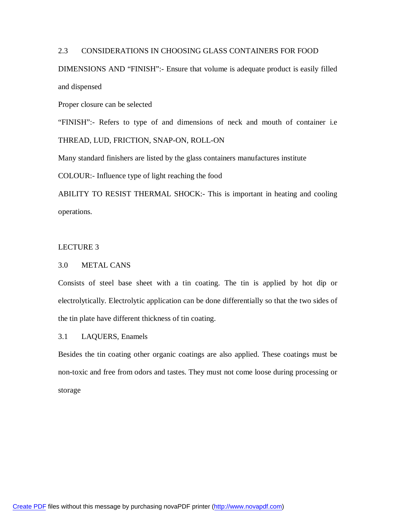## 2.3 CONSIDERATIONS IN CHOOSING GLASS CONTAINERS FOR FOOD

DIMENSIONS AND "FINISH":- Ensure that volume is adequate product is easily filled and dispensed

Proper closure can be selected

"FINISH":- Refers to type of and dimensions of neck and mouth of container i.e THREAD, LUD, FRICTION, SNAP-ON, ROLL-ON

Many standard finishers are listed by the glass containers manufactures institute

COLOUR:- Influence type of light reaching the food

ABILITY TO RESIST THERMAL SHOCK:- This is important in heating and cooling operations.

#### LECTURE 3

#### 3.0 METAL CANS

Consists of steel base sheet with a tin coating. The tin is applied by hot dip or electrolytically. Electrolytic application can be done differentially so that the two sides of the tin plate have different thickness of tin coating.

3.1 LAQUERS, Enamels

Besides the tin coating other organic coatings are also applied. These coatings must be non-toxic and free from odors and tastes. They must not come loose during processing or storage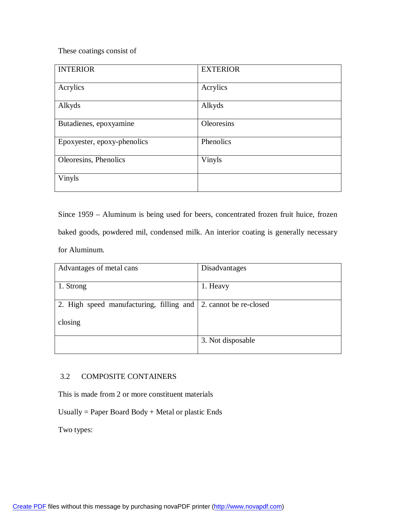These coatings consist of

| <b>INTERIOR</b>             | <b>EXTERIOR</b> |
|-----------------------------|-----------------|
| Acrylics                    | Acrylics        |
| Alkyds                      | Alkyds          |
| Butadienes, epoxyamine      | Oleoresins      |
| Epoxyester, epoxy-phenolics | Phenolics       |
| Oleoresins, Phenolics       | Vinyls          |
| Vinyls                      |                 |

Since 1959 – Aluminum is being used for beers, concentrated frozen fruit huice, frozen baked goods, powdered mil, condensed milk. An interior coating is generally necessary for Aluminum.

| Advantages of metal cans                                        | Disadvantages     |
|-----------------------------------------------------------------|-------------------|
| 1. Strong                                                       | 1. Heavy          |
| 2. High speed manufacturing, filling and 2. cannot be re-closed |                   |
| closing                                                         |                   |
|                                                                 | 3. Not disposable |

# 3.2 COMPOSITE CONTAINERS

This is made from 2 or more constituent materials

Usually = Paper Board Body + Metal or plastic Ends

Two types: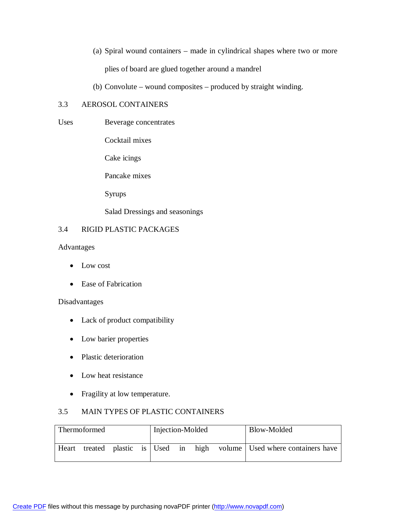- (a) Spiral wound containers made in cylindrical shapes where two or more plies of board are glued together around a mandrel
- (b) Convolute wound composites produced by straight winding.

## 3.3 AEROSOL CONTAINERS

Uses Beverage concentrates

Cocktail mixes

Cake icings

Pancake mixes

Syrups

Salad Dressings and seasonings

# 3.4 RIGID PLASTIC PACKAGES

Advantages

- Low cost
- Ease of Fabrication

#### Disadvantages

- Lack of product compatibility
- Low barier properties
- Plastic deterioration
- Low heat resistance
- Fragility at low temperature.

# 3.5 MAIN TYPES OF PLASTIC CONTAINERS

| Thermoformed |  |  | Injection-Molded |  | Blow-Molded |  |                                                                   |
|--------------|--|--|------------------|--|-------------|--|-------------------------------------------------------------------|
| Heart        |  |  |                  |  |             |  | treated plastic is Used in high volume Used where containers have |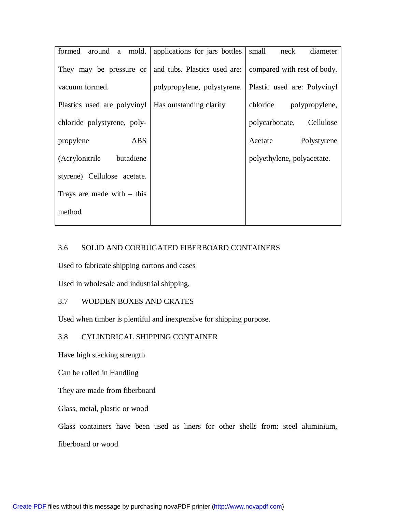| formed<br>around a mold.     | applications for jars bottles | diameter<br>small<br>neck   |
|------------------------------|-------------------------------|-----------------------------|
| They may be pressure or      | and tubs. Plastics used are:  | compared with rest of body. |
| vacuum formed.               | polypropylene, polystyrene.   | Plastic used are: Polyvinyl |
| Plastics used are polyvinyl  | Has outstanding clarity       | chloride polypropylene,     |
| chloride polystyrene, poly-  |                               | polycarbonate,<br>Cellulose |
| <b>ABS</b><br>propylene      |                               | Acetate<br>Polystyrene      |
| butadiene<br>(Acrylonitrile) |                               | polyethylene, polyacetate.  |
| styrene) Cellulose acetate.  |                               |                             |
| Trays are made with $-$ this |                               |                             |
| method                       |                               |                             |
|                              |                               |                             |

# 3.6 SOLID AND CORRUGATED FIBERBOARD CONTAINERS

Used to fabricate shipping cartons and cases

Used in wholesale and industrial shipping.

# 3.7 WODDEN BOXES AND CRATES

Used when timber is plentiful and inexpensive for shipping purpose.

# 3.8 CYLINDRICAL SHIPPING CONTAINER

Have high stacking strength

Can be rolled in Handling

They are made from fiberboard

Glass, metal, plastic or wood

Glass containers have been used as liners for other shells from: steel aluminium,

fiberboard or wood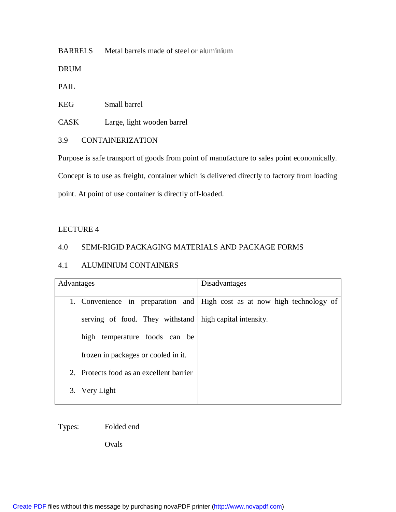BARRELS Metal barrels made of steel or aluminium

DRUM

PAIL

KEG Small barrel

CASK Large, light wooden barrel

# 3.9 CONTAINERIZATION

Purpose is safe transport of goods from point of manufacture to sales point economically.

Concept is to use as freight, container which is delivered directly to factory from loading

point. At point of use container is directly off-loaded.

# LECTURE 4

# 4.0 SEMI-RIGID PACKAGING MATERIALS AND PACKAGE FORMS

# 4.1 ALUMINIUM CONTAINERS

| Advantages                                                | Disadvantages                                                            |  |  |
|-----------------------------------------------------------|--------------------------------------------------------------------------|--|--|
|                                                           |                                                                          |  |  |
|                                                           | 1. Convenience in preparation and High cost as at now high technology of |  |  |
| serving of food. They withstand   high capital intensity. |                                                                          |  |  |
| temperature foods can be<br>high                          |                                                                          |  |  |
| frozen in packages or cooled in it.                       |                                                                          |  |  |
| 2. Protects food as an excellent barrier                  |                                                                          |  |  |
| 3. Very Light                                             |                                                                          |  |  |
|                                                           |                                                                          |  |  |

Types: Folded end

Ovals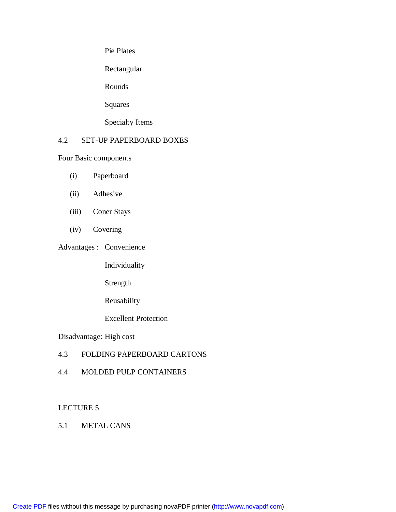Pie Plates

Rectangular

Rounds

Squares

Specialty Items

# 4.2 SET-UP PAPERBOARD BOXES

Four Basic components

- (i) Paperboard
- (ii) Adhesive
- (iii) Coner Stays
- (iv) Covering

Advantages : Convenience

Individuality

Strength

Reusability

Excellent Protection

Disadvantage: High cost

# 4.3 FOLDING PAPERBOARD CARTONS

4.4 MOLDED PULP CONTAINERS

## LECTURE 5

5.1 METAL CANS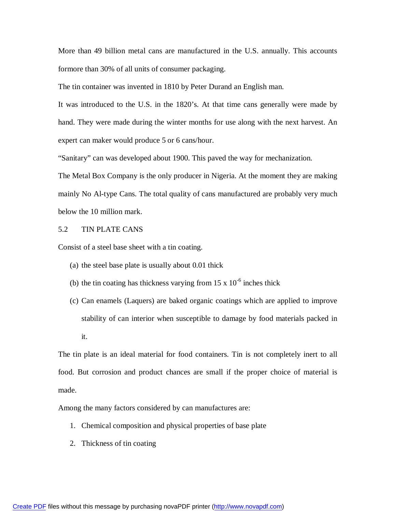More than 49 billion metal cans are manufactured in the U.S. annually. This accounts formore than 30% of all units of consumer packaging.

The tin container was invented in 1810 by Peter Durand an English man.

It was introduced to the U.S. in the 1820's. At that time cans generally were made by hand. They were made during the winter months for use along with the next harvest. An expert can maker would produce 5 or 6 cans/hour.

"Sanitary" can was developed about 1900. This paved the way for mechanization.

The Metal Box Company is the only producer in Nigeria. At the moment they are making mainly No Al-type Cans. The total quality of cans manufactured are probably very much below the 10 million mark.

#### 5.2 TIN PLATE CANS

Consist of a steel base sheet with a tin coating.

- (a) the steel base plate is usually about 0.01 thick
- (b) the tin coating has thickness varying from  $15 \times 10^{-6}$  inches thick
- (c) Can enamels (Laquers) are baked organic coatings which are applied to improve stability of can interior when susceptible to damage by food materials packed in it.

The tin plate is an ideal material for food containers. Tin is not completely inert to all food. But corrosion and product chances are small if the proper choice of material is made.

Among the many factors considered by can manufactures are:

- 1. Chemical composition and physical properties of base plate
- 2. Thickness of tin coating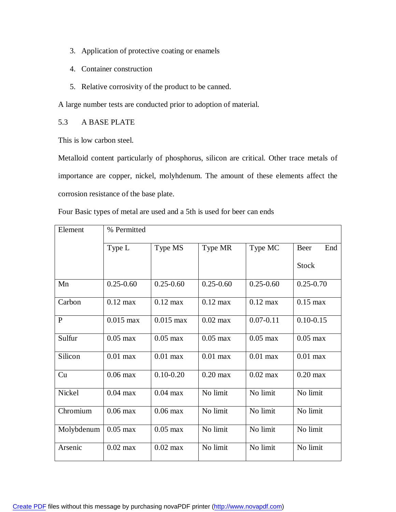- 3. Application of protective coating or enamels
- 4. Container construction
- 5. Relative corrosivity of the product to be canned.

A large number tests are conducted prior to adoption of material.

5.3 A BASE PLATE

This is low carbon steel.

Metalloid content particularly of phosphorus, silicon are critical. Other trace metals of importance are copper, nickel, molyhdenum. The amount of these elements affect the corrosion resistance of the base plate.

| Four Basic types of metal are used and a 5th is used for beer can ends |  |
|------------------------------------------------------------------------|--|
|------------------------------------------------------------------------|--|

| Element      | % Permitted        |                    |                    |               |               |
|--------------|--------------------|--------------------|--------------------|---------------|---------------|
|              | Type L             | Type MS            | Type MR            | Type MC       | End<br>Beer   |
|              |                    |                    |                    |               | <b>Stock</b>  |
| Mn           | $0.25 - 0.60$      | $0.25 - 0.60$      | $0.25 - 0.60$      | $0.25 - 0.60$ | $0.25 - 0.70$ |
| Carbon       | $0.12 \text{ max}$ | $0.12 \text{ max}$ | $0.12 \text{ max}$ | $0.12$ max    | $0.15$ max    |
| $\mathbf{P}$ | $0.015$ max        | $0.015$ max        | $0.02$ max         | $0.07 - 0.11$ | $0.10 - 0.15$ |
| Sulfur       | $0.05$ max         | $0.05$ max         | $0.05$ max         | $0.05$ max    | $0.05$ max    |
| Silicon      | $0.01$ max         | $0.01$ max         | $0.01$ max         | $0.01$ max    | $0.01$ max    |
| Cu           | $0.06$ max         | $0.10 - 0.20$      | $0.20$ max         | $0.02$ max    | $0.20$ max    |
| Nickel       | $0.04$ max         | $0.04$ max         | No limit           | No limit      | No limit      |
| Chromium     | $0.06$ max         | $0.06$ max         | No limit           | No limit      | No limit      |
| Molybdenum   | $0.05$ max         | $0.05$ max         | No limit           | No limit      | No limit      |
| Arsenic      | $0.02$ max         | $0.02$ max         | No limit           | No limit      | No limit      |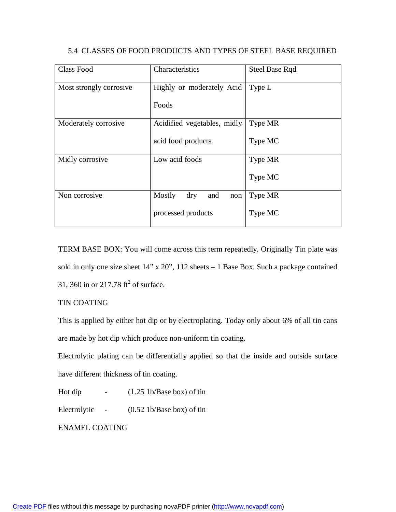| <b>Class Food</b>       | Characteristics                    | <b>Steel Base Rqd</b> |
|-------------------------|------------------------------------|-----------------------|
| Most strongly corrosive | Highly or moderately Acid          | Type L                |
|                         | Foods                              |                       |
| Moderately corrosive    | Acidified vegetables, midly        | Type MR               |
|                         | acid food products                 | Type MC               |
| Midly corrosive         | Low acid foods                     | Type MR               |
|                         |                                    | Type MC               |
| Non corrosive           | Mostly<br>$\rm{dry}$<br>and<br>non | Type MR               |
|                         | processed products                 | Type MC               |

## 5.4 CLASSES OF FOOD PRODUCTS AND TYPES OF STEEL BASE REQUIRED

TERM BASE BOX: You will come across this term repeatedly. Originally Tin plate was sold in only one size sheet 14" x 20", 112 sheets – 1 Base Box. Such a package contained 31, 360 in or 217.78  $\text{ft}^2$  of surface.

# TIN COATING

This is applied by either hot dip or by electroplating. Today only about 6% of all tin cans are made by hot dip which produce non-uniform tin coating.

Electrolytic plating can be differentially applied so that the inside and outside surface have different thickness of tin coating.

Hot dip  $-$  (1.25 1b/Base box) of tin

Electrolytic - (0.52 1b/Base box) of tin

ENAMEL COATING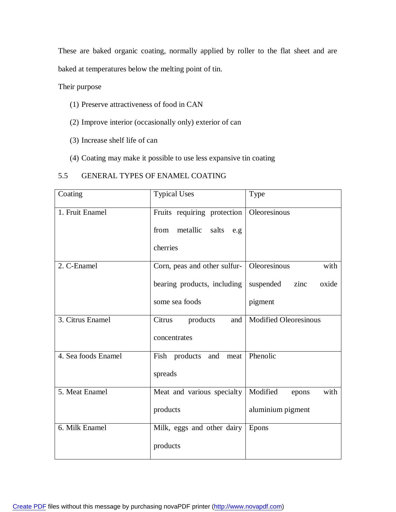These are baked organic coating, normally applied by roller to the flat sheet and are baked at temperatures below the melting point of tin.

# Their purpose

- (1) Preserve attractiveness of food in CAN
- (2) Improve interior (occasionally only) exterior of can
- (3) Increase shelf life of can
- (4) Coating may make it possible to use less expansive tin coating

# 5.5 GENERAL TYPES OF ENAMEL COATING

| Coating             | <b>Typical Uses</b>                         | Type                         |
|---------------------|---------------------------------------------|------------------------------|
| 1. Fruit Enamel     | Fruits requiring protection                 | Oleoresinous                 |
|                     | from metallic salts<br>e.g.                 |                              |
|                     | cherries                                    |                              |
| 2. C-Enamel         | Corn, peas and other sulfur-   Oleoresinous | with                         |
|                     | bearing products, including                 | suspended zinc<br>oxide      |
|                     | some sea foods                              | pigment                      |
| 3. Citrus Enamel    | Citrus<br>products<br>and                   | <b>Modified Oleoresinous</b> |
|                     | concentrates                                |                              |
| 4. Sea foods Enamel | Fish products and                           | meat   Phenolic              |
|                     | spreads                                     |                              |
| 5. Meat Enamel      | Meat and various specialty                  | Modified<br>with<br>epons    |
|                     | products                                    | aluminium pigment            |
| 6. Milk Enamel      | Milk, eggs and other dairy   Epons          |                              |
|                     | products                                    |                              |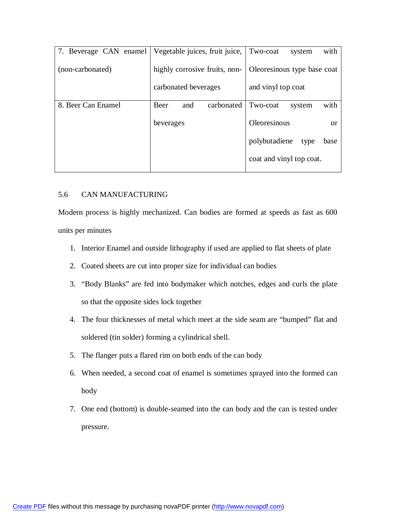| 7. Beverage CAN enamel | Vegetable juices, fruit juice, | with<br>Two-coat<br>system           |
|------------------------|--------------------------------|--------------------------------------|
| (non-carbonated)       | highly corrosive fruits, non-  | Oleoresinous type base coat          |
|                        | carbonated beverages           | and vinyl top coat                   |
| 8. Beer Can Enamel     | Beer<br>carbonated<br>and      | with<br>Two-coat<br>system           |
|                        | beverages                      | <b>Oleoresinous</b><br><sub>or</sub> |
|                        |                                | polybutadiene<br>base<br>type        |
|                        |                                | coat and vinyl top coat.             |

# 5.6 CAN MANUFACTURING

Modern process is highly mechanized. Can bodies are formed at speeds as fast as 600 units per minutes

- 1. Interior Enamel and outside lithography if used are applied to flat sheets of plate
- 2. Coated sheets are cut into proper size for individual can bodies
- 3. "Body Blanks" are fed into bodymaker which notches, edges and curls the plate so that the opposite sides lock together
- 4. The four thicknesses of metal which meet at the side seam are "bumped" flat and soldered (tin solder) forming a cylindrical shell.
- 5. The flanger puts a flared rim on both ends of the can body
- 6. When needed, a second coat of enamel is sometimes sprayed into the formed can body
- 7. One end (bottom) is double-seamed into the can body and the can is tested under pressure.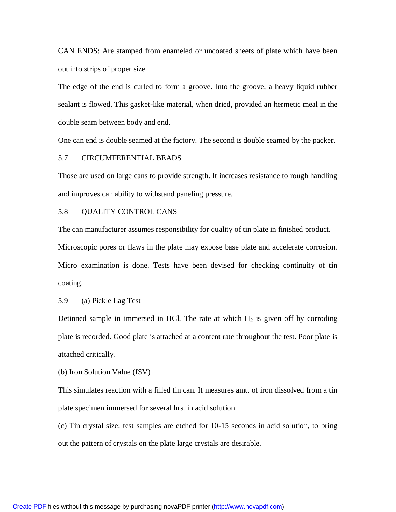CAN ENDS: Are stamped from enameled or uncoated sheets of plate which have been out into strips of proper size.

The edge of the end is curled to form a groove. Into the groove, a heavy liquid rubber sealant is flowed. This gasket-like material, when dried, provided an hermetic meal in the double seam between body and end.

One can end is double seamed at the factory. The second is double seamed by the packer.

#### 5.7 CIRCUMFERENTIAL BEADS

Those are used on large cans to provide strength. It increases resistance to rough handling and improves can ability to withstand paneling pressure.

#### 5.8 QUALITY CONTROL CANS

The can manufacturer assumes responsibility for quality of tin plate in finished product. Microscopic pores or flaws in the plate may expose base plate and accelerate corrosion. Micro examination is done. Tests have been devised for checking continuity of tin coating.

#### 5.9 (a) Pickle Lag Test

Detinned sample in immersed in HCl. The rate at which  $H_2$  is given off by corroding plate is recorded. Good plate is attached at a content rate throughout the test. Poor plate is attached critically.

#### (b) Iron Solution Value (ISV)

This simulates reaction with a filled tin can. It measures amt. of iron dissolved from a tin plate specimen immersed for several hrs. in acid solution

(c) Tin crystal size: test samples are etched for 10-15 seconds in acid solution, to bring out the pattern of crystals on the plate large crystals are desirable.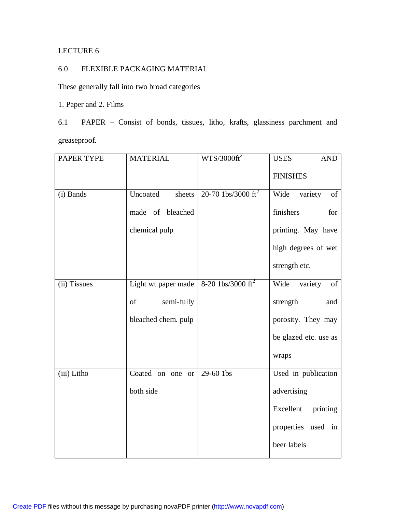# LECTURE 6

# 6.0 FLEXIBLE PACKAGING MATERIAL

These generally fall into two broad categories

1. Paper and 2. Films

6.1 PAPER – Consist of bonds, tissues, litho, krafts, glassiness parchment and greaseproof.

| PAPER TYPE   | <b>MATERIAL</b>     | $WTS/3000ft^2$                 | <b>USES</b><br><b>AND</b> |
|--------------|---------------------|--------------------------------|---------------------------|
|              |                     |                                | <b>FINISHES</b>           |
| (i) Bands    | Uncoated<br>sheets  | 20-70 1bs/3000 ft <sup>2</sup> | variety<br>Wide<br>of     |
|              | made of bleached    |                                | finishers<br>for          |
|              | chemical pulp       |                                | printing. May have        |
|              |                     |                                | high degrees of wet       |
|              |                     |                                | strength etc.             |
| (ii) Tissues | Light wt paper made | 8-20 1bs/3000 ft <sup>2</sup>  | variety of<br>Wide        |
|              | semi-fully<br>of    |                                | strength<br>and           |
|              | bleached chem. pulp |                                | porosity. They may        |
|              |                     |                                | be glazed etc. use as     |
|              |                     |                                | wraps                     |
| (iii) Litho  | Coated on one or    | 29-60 1bs                      | Used in publication       |
|              | both side           |                                | advertising               |
|              |                     |                                | Excellent<br>printing     |
|              |                     |                                | properties used in        |
|              |                     |                                | beer labels               |

[Create PDF](http://www.novapdf.com) files without this message by purchasing novaPDF printer (<http://www.novapdf.com>)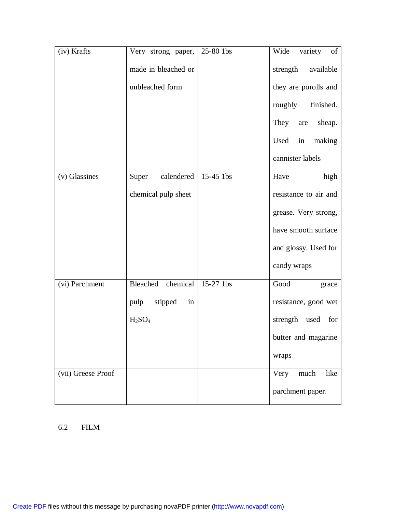| (iv) Krafts        | Very strong paper,             | 25-80 1bs | Wide<br>variety of    |
|--------------------|--------------------------------|-----------|-----------------------|
|                    | made in bleached or            |           | strength<br>available |
|                    | unbleached form                |           | they are porolls and  |
|                    |                                |           | roughly<br>finished.  |
|                    |                                |           | They<br>sheap.<br>are |
|                    |                                |           | Used<br>in<br>making  |
|                    |                                |           | cannister labels      |
| (v) Glassines      | calendered<br>Super            | 15-45 1bs | Have<br>high          |
|                    | chemical pulp sheet            |           | resistance to air and |
|                    |                                |           | grease. Very strong,  |
|                    |                                |           | have smooth surface   |
|                    |                                |           | and glossy. Used for  |
|                    |                                |           | candy wraps           |
| (vi) Parchment     | Bleached chemical              | 15-27 1bs | Good<br>grace         |
|                    | stipped<br>in<br>pulp          |           | resistance, good wet  |
|                    | H <sub>2</sub> SO <sub>4</sub> |           | strength used<br>for  |
|                    |                                |           | butter and magarine   |
|                    |                                |           | wraps                 |
| (vii) Greese Proof |                                |           | much<br>like<br>Very  |
|                    |                                |           | parchment paper.      |

# 6.2 FILM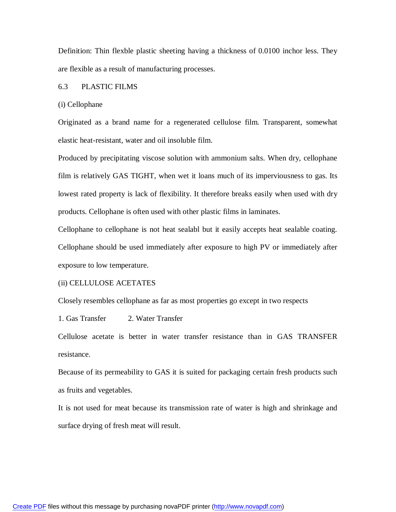Definition: Thin flexble plastic sheeting having a thickness of 0.0100 inchor less. They are flexible as a result of manufacturing processes.

#### 6.3 PLASTIC FILMS

#### (i) Cellophane

Originated as a brand name for a regenerated cellulose film. Transparent, somewhat elastic heat-resistant, water and oil insoluble film.

Produced by precipitating viscose solution with ammonium salts. When dry, cellophane film is relatively GAS TIGHT, when wet it loans much of its imperviousness to gas. Its lowest rated property is lack of flexibility. It therefore breaks easily when used with dry products. Cellophane is often used with other plastic films in laminates.

Cellophane to cellophane is not heat sealabl but it easily accepts heat sealable coating. Cellophane should be used immediately after exposure to high PV or immediately after exposure to low temperature.

#### (ii) CELLULOSE ACETATES

Closely resembles cellophane as far as most properties go except in two respects

1. Gas Transfer 2. Water Transfer

Cellulose acetate is better in water transfer resistance than in GAS TRANSFER resistance.

Because of its permeability to GAS it is suited for packaging certain fresh products such as fruits and vegetables.

It is not used for meat because its transmission rate of water is high and shrinkage and surface drying of fresh meat will result.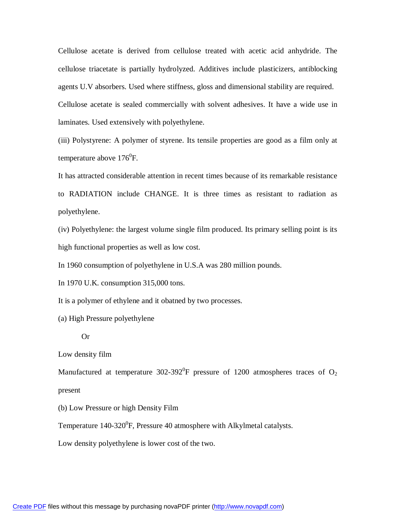Cellulose acetate is derived from cellulose treated with acetic acid anhydride. The cellulose triacetate is partially hydrolyzed. Additives include plasticizers, antiblocking agents U.V absorbers. Used where stiffness, gloss and dimensional stability are required. Cellulose acetate is sealed commercially with solvent adhesives. It have a wide use in laminates. Used extensively with polyethylene.

(iii) Polystyrene: A polymer of styrene. Its tensile properties are good as a film only at temperature above  $176^0$ F.

It has attracted considerable attention in recent times because of its remarkable resistance to RADIATION include CHANGE. It is three times as resistant to radiation as polyethylene.

(iv) Polyethylene: the largest volume single film produced. Its primary selling point is its high functional properties as well as low cost.

In 1960 consumption of polyethylene in U.S.A was 280 million pounds.

In 1970 U.K. consumption 315,000 tons.

It is a polymer of ethylene and it obatned by two processes.

(a) High Pressure polyethylene

#### Or

Low density film

Manufactured at temperature 302-392<sup>0</sup>F pressure of 1200 atmospheres traces of  $O_2$ present

(b) Low Pressure or high Density Film

Temperature  $140-320^{\circ}$ F, Pressure 40 atmosphere with Alkylmetal catalysts.

Low density polyethylene is lower cost of the two.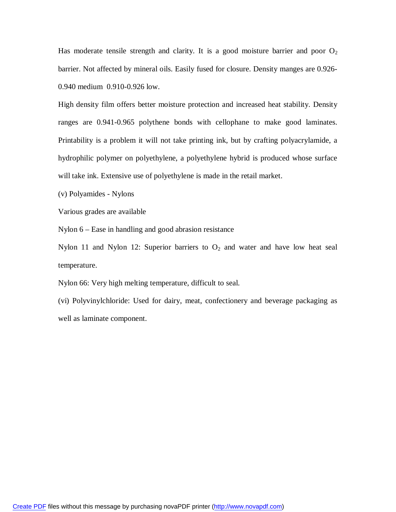Has moderate tensile strength and clarity. It is a good moisture barrier and poor  $O_2$ barrier. Not affected by mineral oils. Easily fused for closure. Density manges are 0.926- 0.940 medium 0.910-0.926 low.

High density film offers better moisture protection and increased heat stability. Density ranges are 0.941-0.965 polythene bonds with cellophane to make good laminates. Printability is a problem it will not take printing ink, but by crafting polyacrylamide, a hydrophilic polymer on polyethylene, a polyethylene hybrid is produced whose surface will take ink. Extensive use of polyethylene is made in the retail market.

(v) Polyamides - Nylons

Various grades are available

Nylon 6 – Ease in handling and good abrasion resistance

Nylon 11 and Nylon 12: Superior barriers to  $O_2$  and water and have low heat seal temperature.

Nylon 66: Very high melting temperature, difficult to seal.

(vi) Polyvinylchloride: Used for dairy, meat, confectionery and beverage packaging as well as laminate component.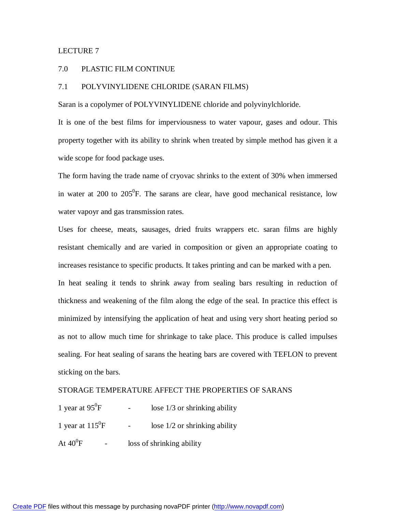#### LECTURE 7

#### 7.0 PLASTIC FILM CONTINUE

## 7.1 POLYVINYLIDENE CHLORIDE (SARAN FILMS)

Saran is a copolymer of POLYVINYLIDENE chloride and polyvinylchloride.

It is one of the best films for imperviousness to water vapour, gases and odour. This property together with its ability to shrink when treated by simple method has given it a wide scope for food package uses.

The form having the trade name of cryovac shrinks to the extent of 30% when immersed in water at 200 to  $205^{\circ}$ F. The sarans are clear, have good mechanical resistance, low water vapoyr and gas transmission rates.

Uses for cheese, meats, sausages, dried fruits wrappers etc. saran films are highly resistant chemically and are varied in composition or given an appropriate coating to increases resistance to specific products. It takes printing and can be marked with a pen. In heat sealing it tends to shrink away from sealing bars resulting in reduction of thickness and weakening of the film along the edge of the seal. In practice this effect is minimized by intensifying the application of heat and using very short heating period so as not to allow much time for shrinkage to take place. This produce is called impulses

sealing. For heat sealing of sarans the heating bars are covered with TEFLON to prevent sticking on the bars.

### STORAGE TEMPERATURE AFFECT THE PROPERTIES OF SARANS

| 1 year at $95^{\circ}F$ | lose $1/3$ or shrinking ability |
|-------------------------|---------------------------------|
|                         |                                 |

1 year at  $115^{\circ}$ F lose  $1/2$  or shrinking ability

At  $40^0$ F loss of shrinking ability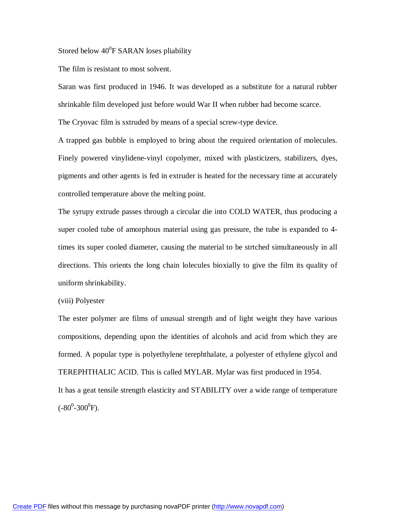Stored below  $40^0$ F SARAN loses pliability

The film is resistant to most solvent.

Saran was first produced in 1946. It was developed as a substitute for a natural rubber shrinkable film developed just before would War II when rubber had become scarce.

The Cryovac film is sxtruded by means of a special screw-type device.

A trapped gas bubble is employed to bring about the required orientation of molecules. Finely powered vinylidene-vinyl copolymer, mixed with plasticizers, stabilizers, dyes, pigments and other agents is fed in extruder is heated for the necessary time at accurately controlled temperature above the melting point.

The syrupy extrude passes through a circular die into COLD WATER, thus producing a super cooled tube of amorphous material using gas pressure, the tube is expanded to 4 times its super cooled diameter, causing the material to be strtched simultaneously in all directions. This orients the long chain lolecules bioxially to give the film its quality of uniform shrinkability.

#### (viii) Polyester

The ester polymer are films of unusual strength and of light weight they have various compositions, depending upon the identities of alcohols and acid from which they are formed. A popular type is polyethylene terephthalate, a polyester of ethylene glycol and TEREPHTHALIC ACID. This is called MYLAR. Mylar was first produced in 1954. It has a geat tensile strength elasticity and STABILITY over a wide range of temperature  $(.80^0$ -300<sup>0</sup>F).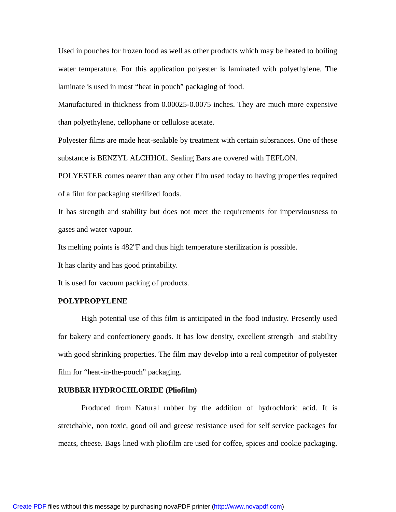Used in pouches for frozen food as well as other products which may be heated to boiling water temperature. For this application polyester is laminated with polyethylene. The laminate is used in most "heat in pouch" packaging of food.

Manufactured in thickness from 0.00025-0.0075 inches. They are much more expensive than polyethylene, cellophane or cellulose acetate.

Polyester films are made heat-sealable by treatment with certain subsrances. One of these substance is BENZYL ALCHHOL. Sealing Bars are covered with TEFLON.

POLYESTER comes nearer than any other film used today to having properties required of a film for packaging sterilized foods.

It has strength and stability but does not meet the requirements for imperviousness to gases and water vapour.

Its melting points is 482°F and thus high temperature sterilization is possible.

It has clarity and has good printability.

It is used for vacuum packing of products.

#### **POLYPROPYLENE**

High potential use of this film is anticipated in the food industry. Presently used for bakery and confectionery goods. It has low density, excellent strength and stability with good shrinking properties. The film may develop into a real competitor of polyester film for "heat-in-the-pouch" packaging.

#### **RUBBER HYDROCHLORIDE (Pliofilm)**

Produced from Natural rubber by the addition of hydrochloric acid. It is stretchable, non toxic, good oil and greese resistance used for self service packages for meats, cheese. Bags lined with pliofilm are used for coffee, spices and cookie packaging.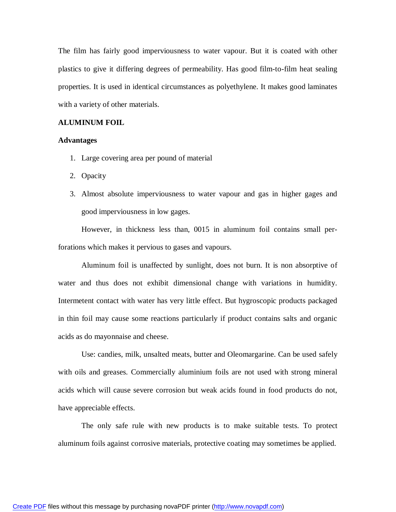The film has fairly good imperviousness to water vapour. But it is coated with other plastics to give it differing degrees of permeability. Has good film-to-film heat sealing properties. It is used in identical circumstances as polyethylene. It makes good laminates with a variety of other materials.

#### **ALUMINUM FOIL**

#### **Advantages**

- 1. Large covering area per pound of material
- 2. Opacity
- 3. Almost absolute imperviousness to water vapour and gas in higher gages and good imperviousness in low gages.

However, in thickness less than, 0015 in aluminum foil contains small perforations which makes it pervious to gases and vapours.

Aluminum foil is unaffected by sunlight, does not burn. It is non absorptive of water and thus does not exhibit dimensional change with variations in humidity. Intermetent contact with water has very little effect. But hygroscopic products packaged in thin foil may cause some reactions particularly if product contains salts and organic acids as do mayonnaise and cheese.

Use: candies, milk, unsalted meats, butter and Oleomargarine. Can be used safely with oils and greases. Commercially aluminium foils are not used with strong mineral acids which will cause severe corrosion but weak acids found in food products do not, have appreciable effects.

The only safe rule with new products is to make suitable tests. To protect aluminum foils against corrosive materials, protective coating may sometimes be applied.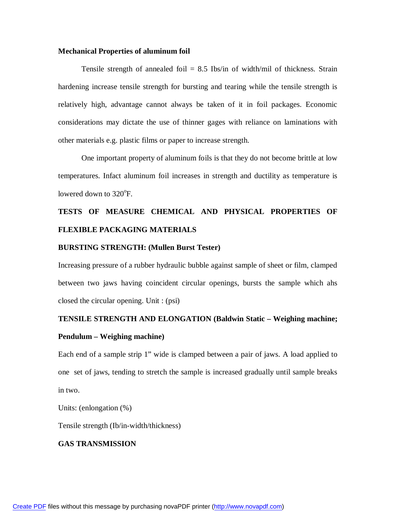#### **Mechanical Properties of aluminum foil**

Tensile strength of annealed foil  $= 8.5$  Ibs/in of width/mil of thickness. Strain hardening increase tensile strength for bursting and tearing while the tensile strength is relatively high, advantage cannot always be taken of it in foil packages. Economic considerations may dictate the use of thinner gages with reliance on laminations with other materials e.g. plastic films or paper to increase strength.

One important property of aluminum foils is that they do not become brittle at low temperatures. Infact aluminum foil increases in strength and ductility as temperature is lowered down to 320°F.

# **TESTS OF MEASURE CHEMICAL AND PHYSICAL PROPERTIES OF FLEXIBLE PACKAGING MATERIALS**

#### **BURSTING STRENGTH: (Mullen Burst Tester)**

Increasing pressure of a rubber hydraulic bubble against sample of sheet or film, clamped between two jaws having coincident circular openings, bursts the sample which ahs closed the circular opening. Unit : (psi)

#### **TENSILE STRENGTH AND ELONGATION (Baldwin Static – Weighing machine;**

#### **Pendulum – Weighing machine)**

Each end of a sample strip 1" wide is clamped between a pair of jaws. A load applied to one set of jaws, tending to stretch the sample is increased gradually until sample breaks in two.

Units: (enlongation (%)

Tensile strength (Ib/in-width/thickness)

#### **GAS TRANSMISSION**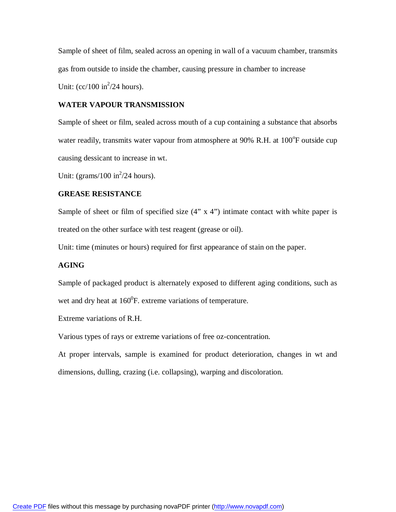Sample of sheet of film, sealed across an opening in wall of a vacuum chamber, transmits gas from outside to inside the chamber, causing pressure in chamber to increase Unit:  $(cc/100 \text{ in}^2/24 \text{ hours}).$ 

# **WATER VAPOUR TRANSMISSION**

Sample of sheet or film, sealed across mouth of a cup containing a substance that absorbs water readily, transmits water vapour from atmosphere at 90% R.H. at 100°F outside cup causing dessicant to increase in wt.

Unit: (grams/100 in $^{2}/24$  hours).

# **GREASE RESISTANCE**

Sample of sheet or film of specified size  $(4" \times 4")$  intimate contact with white paper is treated on the other surface with test reagent (grease or oil).

Unit: time (minutes or hours) required for first appearance of stain on the paper.

# **AGING**

Sample of packaged product is alternately exposed to different aging conditions, such as wet and dry heat at  $160^{\circ}$ F. extreme variations of temperature.

Extreme variations of R.H.

Various types of rays or extreme variations of free oz-concentration.

At proper intervals, sample is examined for product deterioration, changes in wt and dimensions, dulling, crazing (i.e. collapsing), warping and discoloration.